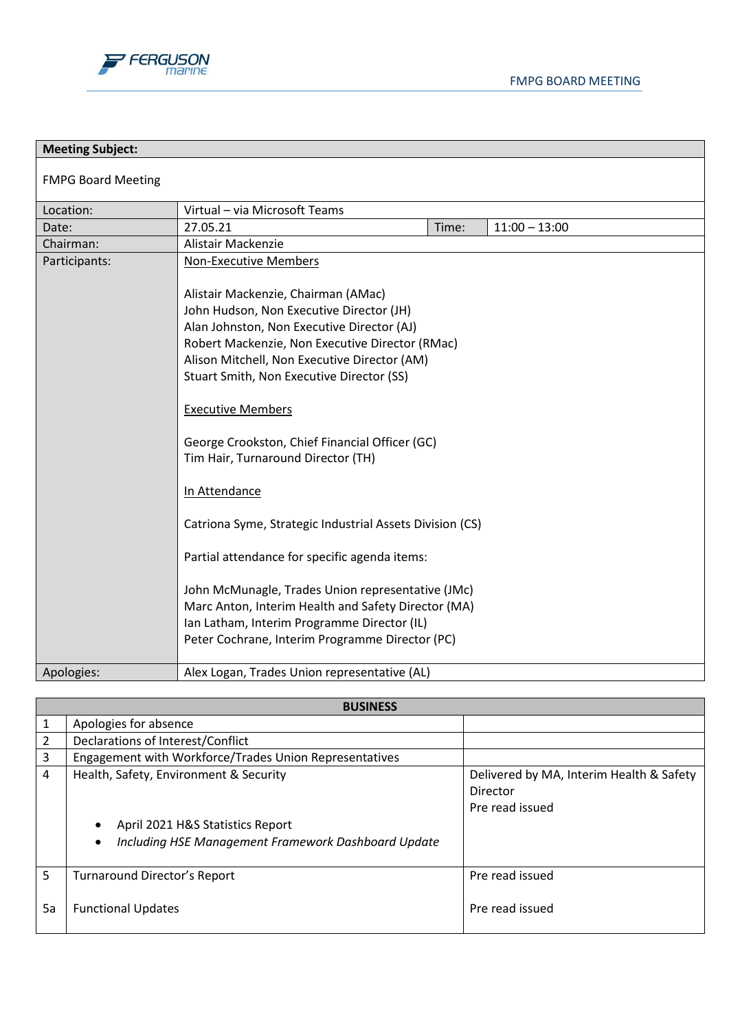

| <b>Meeting Subject:</b>   |                                                                                                                                                                                                                                                                                                                                                                                                                                                                                                                                                                                                                                                                             |       |                 |
|---------------------------|-----------------------------------------------------------------------------------------------------------------------------------------------------------------------------------------------------------------------------------------------------------------------------------------------------------------------------------------------------------------------------------------------------------------------------------------------------------------------------------------------------------------------------------------------------------------------------------------------------------------------------------------------------------------------------|-------|-----------------|
| <b>FMPG Board Meeting</b> |                                                                                                                                                                                                                                                                                                                                                                                                                                                                                                                                                                                                                                                                             |       |                 |
| Location:                 | Virtual - via Microsoft Teams                                                                                                                                                                                                                                                                                                                                                                                                                                                                                                                                                                                                                                               |       |                 |
| Date:                     | 27.05.21                                                                                                                                                                                                                                                                                                                                                                                                                                                                                                                                                                                                                                                                    | Time: | $11:00 - 13:00$ |
| Chairman:                 | Alistair Mackenzie                                                                                                                                                                                                                                                                                                                                                                                                                                                                                                                                                                                                                                                          |       |                 |
| Participants:             | <b>Non-Executive Members</b><br>Alistair Mackenzie, Chairman (AMac)<br>John Hudson, Non Executive Director (JH)<br>Alan Johnston, Non Executive Director (AJ)<br>Robert Mackenzie, Non Executive Director (RMac)<br>Alison Mitchell, Non Executive Director (AM)<br>Stuart Smith, Non Executive Director (SS)<br><b>Executive Members</b><br>George Crookston, Chief Financial Officer (GC)<br>Tim Hair, Turnaround Director (TH)<br>In Attendance<br>Catriona Syme, Strategic Industrial Assets Division (CS)<br>Partial attendance for specific agenda items:<br>John McMunagle, Trades Union representative (JMc)<br>Marc Anton, Interim Health and Safety Director (MA) |       |                 |
|                           | Ian Latham, Interim Programme Director (IL)                                                                                                                                                                                                                                                                                                                                                                                                                                                                                                                                                                                                                                 |       |                 |
|                           | Peter Cochrane, Interim Programme Director (PC)                                                                                                                                                                                                                                                                                                                                                                                                                                                                                                                                                                                                                             |       |                 |
| Apologies:                | Alex Logan, Trades Union representative (AL)                                                                                                                                                                                                                                                                                                                                                                                                                                                                                                                                                                                                                                |       |                 |

|               | <b>BUSINESS</b>                                        |                                                                         |  |
|---------------|--------------------------------------------------------|-------------------------------------------------------------------------|--|
|               | Apologies for absence                                  |                                                                         |  |
| $\mathcal{P}$ | Declarations of Interest/Conflict                      |                                                                         |  |
| 3             | Engagement with Workforce/Trades Union Representatives |                                                                         |  |
| 4             | Health, Safety, Environment & Security                 | Delivered by MA, Interim Health & Safety<br>Director<br>Pre read issued |  |
|               | April 2021 H&S Statistics Report                       |                                                                         |  |
|               | Including HSE Management Framework Dashboard Update    |                                                                         |  |
| 5             | Turnaround Director's Report                           | Pre read issued                                                         |  |
| 5a            | <b>Functional Updates</b>                              | Pre read issued                                                         |  |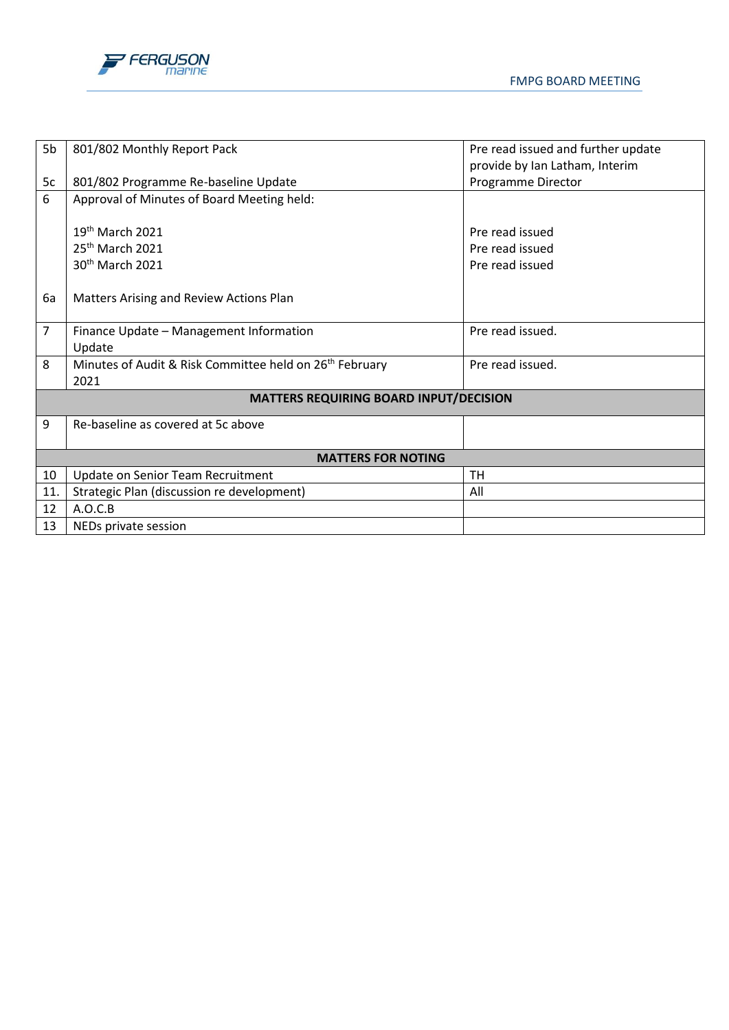



| 5b             | 801/802 Monthly Report Pack                                         | Pre read issued and further update |  |
|----------------|---------------------------------------------------------------------|------------------------------------|--|
|                |                                                                     | provide by Ian Latham, Interim     |  |
| 5c             | 801/802 Programme Re-baseline Update                                | Programme Director                 |  |
| 6              | Approval of Minutes of Board Meeting held:                          |                                    |  |
|                |                                                                     |                                    |  |
|                | 19th March 2021                                                     | Pre read issued                    |  |
|                | $25th$ March 2021                                                   | Pre read issued                    |  |
|                | 30 <sup>th</sup> March 2021                                         | Pre read issued                    |  |
|                |                                                                     |                                    |  |
| 6a             | Matters Arising and Review Actions Plan                             |                                    |  |
|                |                                                                     |                                    |  |
| $\overline{7}$ | Finance Update - Management Information                             | Pre read issued.                   |  |
|                | Update                                                              |                                    |  |
| 8              | Minutes of Audit & Risk Committee held on 26 <sup>th</sup> February | Pre read issued.                   |  |
|                | 2021                                                                |                                    |  |
|                | <b>MATTERS REQUIRING BOARD INPUT/DECISION</b>                       |                                    |  |
| 9              | Re-baseline as covered at 5c above                                  |                                    |  |
|                |                                                                     |                                    |  |
|                | <b>MATTERS FOR NOTING</b>                                           |                                    |  |
| 10             | Update on Senior Team Recruitment                                   | TH                                 |  |
| 11.            | Strategic Plan (discussion re development)                          | All                                |  |
| 12             | A.O.C.B                                                             |                                    |  |
| 13             | NEDs private session                                                |                                    |  |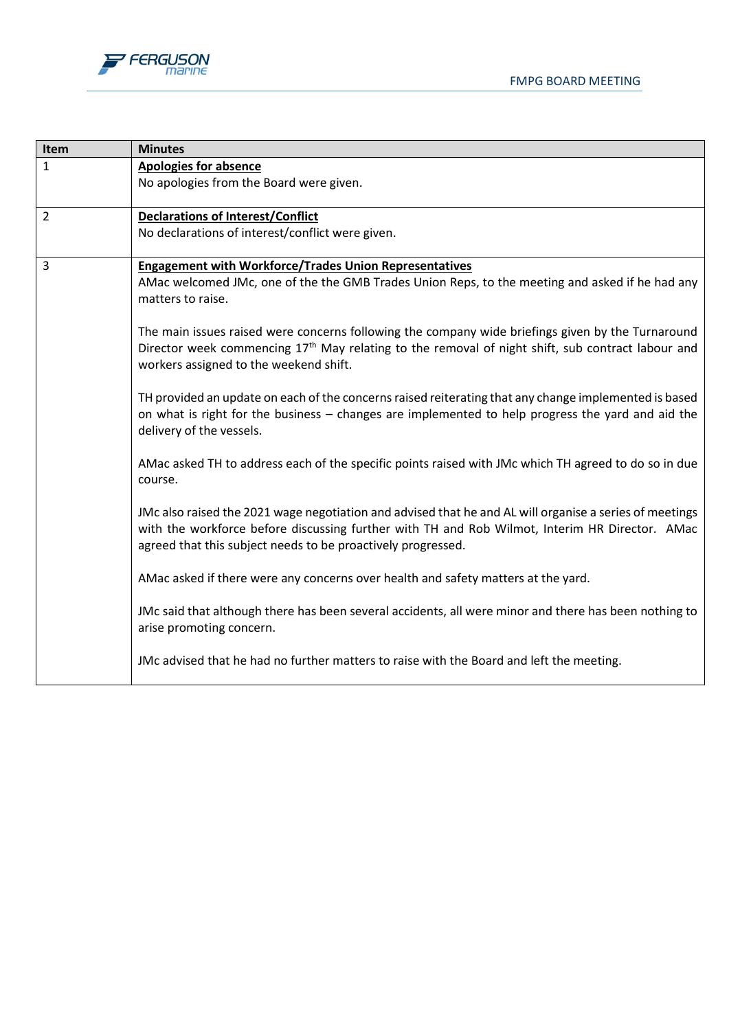

| Item           | <b>Minutes</b>                                                                                                                                                                                                                                                            |
|----------------|---------------------------------------------------------------------------------------------------------------------------------------------------------------------------------------------------------------------------------------------------------------------------|
| $\mathbf{1}$   | <b>Apologies for absence</b>                                                                                                                                                                                                                                              |
|                | No apologies from the Board were given.                                                                                                                                                                                                                                   |
| $\overline{2}$ | <b>Declarations of Interest/Conflict</b>                                                                                                                                                                                                                                  |
|                | No declarations of interest/conflict were given.                                                                                                                                                                                                                          |
| 3              | <b>Engagement with Workforce/Trades Union Representatives</b>                                                                                                                                                                                                             |
|                | AMac welcomed JMc, one of the the GMB Trades Union Reps, to the meeting and asked if he had any<br>matters to raise.                                                                                                                                                      |
|                | The main issues raised were concerns following the company wide briefings given by the Turnaround                                                                                                                                                                         |
|                | Director week commencing 17 <sup>th</sup> May relating to the removal of night shift, sub contract labour and<br>workers assigned to the weekend shift.                                                                                                                   |
|                | TH provided an update on each of the concerns raised reiterating that any change implemented is based<br>on what is right for the business - changes are implemented to help progress the yard and aid the<br>delivery of the vessels.                                    |
|                | AMac asked TH to address each of the specific points raised with JMc which TH agreed to do so in due<br>course.                                                                                                                                                           |
|                | JMc also raised the 2021 wage negotiation and advised that he and AL will organise a series of meetings<br>with the workforce before discussing further with TH and Rob Wilmot, Interim HR Director. AMac<br>agreed that this subject needs to be proactively progressed. |
|                | AMac asked if there were any concerns over health and safety matters at the yard.                                                                                                                                                                                         |
|                | JMc said that although there has been several accidents, all were minor and there has been nothing to<br>arise promoting concern.                                                                                                                                         |
|                | JMc advised that he had no further matters to raise with the Board and left the meeting.                                                                                                                                                                                  |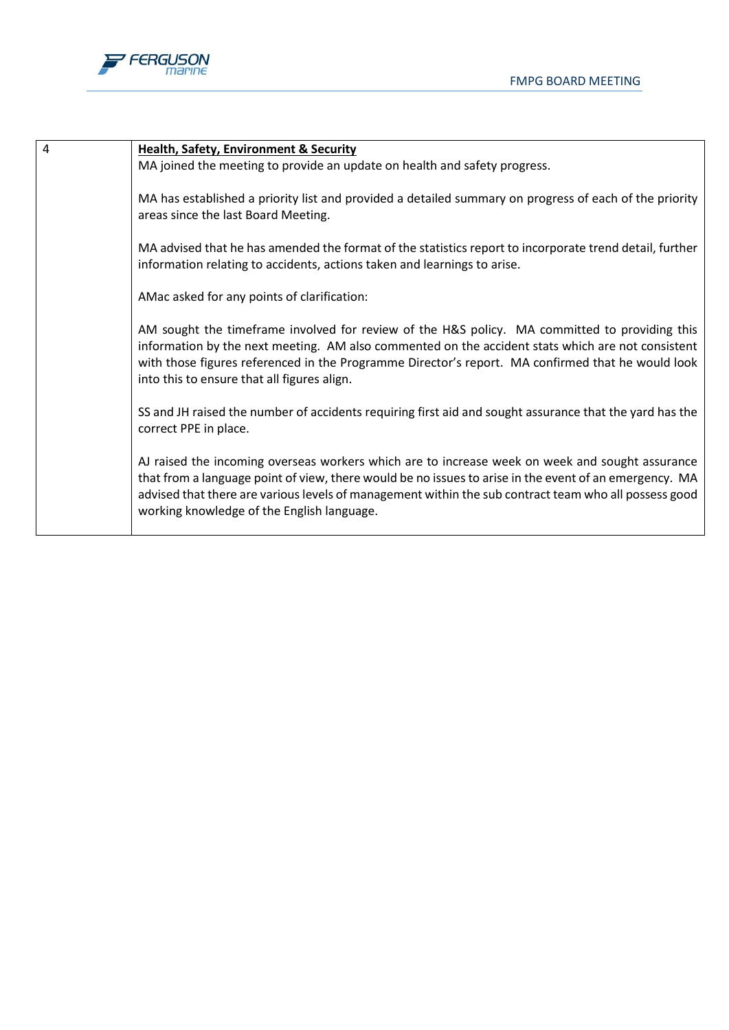



|  | Health, Safety, Environment & Security |
|--|----------------------------------------|
|  |                                        |

MA joined the meeting to provide an update on health and safety progress.

MA has established a priority list and provided a detailed summary on progress of each of the priority areas since the last Board Meeting.

MA advised that he has amended the format of the statistics report to incorporate trend detail, further information relating to accidents, actions taken and learnings to arise.

AMac asked for any points of clarification:

AM sought the timeframe involved for review of the H&S policy. MA committed to providing this information by the next meeting. AM also commented on the accident stats which are not consistent with those figures referenced in the Programme Director's report. MA confirmed that he would look into this to ensure that all figures align.

SS and JH raised the number of accidents requiring first aid and sought assurance that the yard has the correct PPE in place.

AJ raised the incoming overseas workers which are to increase week on week and sought assurance that from a language point of view, there would be no issues to arise in the event of an emergency. MA advised that there are various levels of management within the sub contract team who all possess good working knowledge of the English language.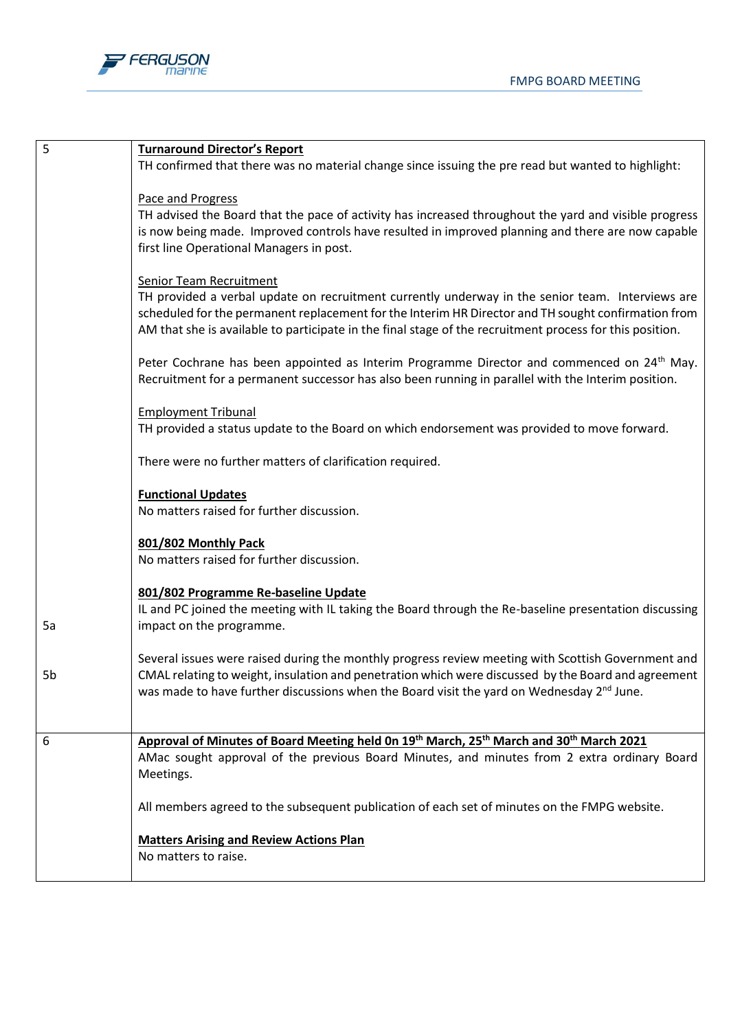

| 5  | <b>Turnaround Director's Report</b>                                                                                                                                                                                                                                                                                 |
|----|---------------------------------------------------------------------------------------------------------------------------------------------------------------------------------------------------------------------------------------------------------------------------------------------------------------------|
|    | TH confirmed that there was no material change since issuing the pre read but wanted to highlight:                                                                                                                                                                                                                  |
|    | Pace and Progress<br>TH advised the Board that the pace of activity has increased throughout the yard and visible progress                                                                                                                                                                                          |
|    | is now being made. Improved controls have resulted in improved planning and there are now capable                                                                                                                                                                                                                   |
|    | first line Operational Managers in post.                                                                                                                                                                                                                                                                            |
|    | <b>Senior Team Recruitment</b>                                                                                                                                                                                                                                                                                      |
|    | TH provided a verbal update on recruitment currently underway in the senior team. Interviews are<br>scheduled for the permanent replacement for the Interim HR Director and TH sought confirmation from<br>AM that she is available to participate in the final stage of the recruitment process for this position. |
|    | Peter Cochrane has been appointed as Interim Programme Director and commenced on 24 <sup>th</sup> May.<br>Recruitment for a permanent successor has also been running in parallel with the Interim position.                                                                                                        |
|    | <b>Employment Tribunal</b>                                                                                                                                                                                                                                                                                          |
|    | TH provided a status update to the Board on which endorsement was provided to move forward.                                                                                                                                                                                                                         |
|    | There were no further matters of clarification required.                                                                                                                                                                                                                                                            |
|    | <b>Functional Updates</b>                                                                                                                                                                                                                                                                                           |
|    | No matters raised for further discussion.                                                                                                                                                                                                                                                                           |
|    | 801/802 Monthly Pack                                                                                                                                                                                                                                                                                                |
|    | No matters raised for further discussion.                                                                                                                                                                                                                                                                           |
|    | 801/802 Programme Re-baseline Update                                                                                                                                                                                                                                                                                |
| 5a | IL and PC joined the meeting with IL taking the Board through the Re-baseline presentation discussing<br>impact on the programme.                                                                                                                                                                                   |
|    | Several issues were raised during the monthly progress review meeting with Scottish Government and                                                                                                                                                                                                                  |
| 5b | CMAL relating to weight, insulation and penetration which were discussed by the Board and agreement                                                                                                                                                                                                                 |
|    | was made to have further discussions when the Board visit the yard on Wednesday $2^{nd}$ June.                                                                                                                                                                                                                      |
| 6  | Approval of Minutes of Board Meeting held On 19th March, 25th March and 30th March 2021                                                                                                                                                                                                                             |
|    | AMac sought approval of the previous Board Minutes, and minutes from 2 extra ordinary Board<br>Meetings.                                                                                                                                                                                                            |
|    | All members agreed to the subsequent publication of each set of minutes on the FMPG website.                                                                                                                                                                                                                        |
|    | <b>Matters Arising and Review Actions Plan</b>                                                                                                                                                                                                                                                                      |
|    | No matters to raise.                                                                                                                                                                                                                                                                                                |
|    |                                                                                                                                                                                                                                                                                                                     |